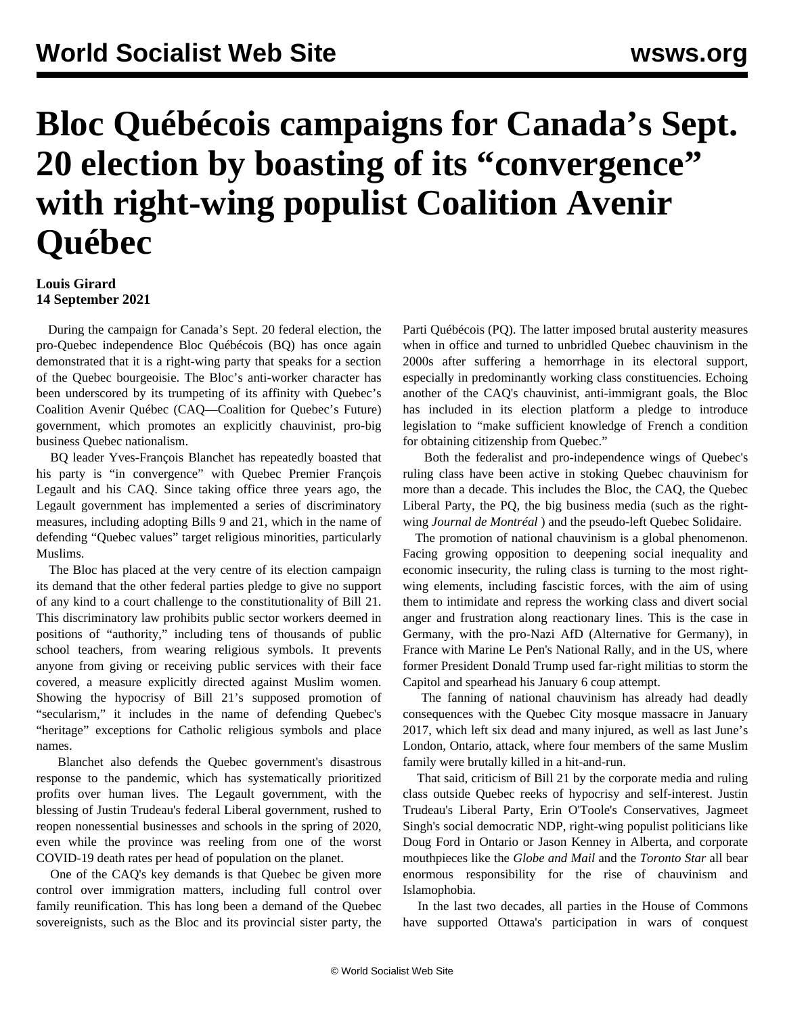## **Bloc Québécois campaigns for Canada's Sept. 20 election by boasting of its "convergence" with right-wing populist Coalition Avenir Québec**

## **Louis Girard 14 September 2021**

 During the campaign for Canada's Sept. 20 federal election, the pro-Quebec independence Bloc Québécois (BQ) has once again demonstrated that it is a right-wing party that speaks for a section of the Quebec bourgeoisie. The Bloc's anti-worker character has been underscored by its trumpeting of its affinity with Quebec's Coalition Avenir Québec (CAQ—Coalition for Quebec's Future) government, which promotes an explicitly chauvinist, pro-big business Quebec nationalism.

 BQ leader Yves-François Blanchet has repeatedly boasted that his party is "in convergence" with Quebec Premier François Legault and his CAQ. Since taking office three years ago, the Legault government has implemented a series of discriminatory measures, including adopting Bills 9 and 21, which in the name of defending "Quebec values" target religious minorities, particularly Muslims.

 The Bloc has placed at the very centre of its election campaign its demand that the other federal parties pledge to give no support of any kind to a court challenge to the constitutionality of Bill 21. This discriminatory law prohibits public sector workers deemed in positions of "authority," including tens of thousands of public school teachers, from wearing religious symbols. It prevents anyone from giving or receiving public services with their face covered, a measure explicitly directed against Muslim women. Showing the hypocrisy of Bill 21's supposed promotion of "secularism," it includes in the name of defending Quebec's "heritage" exceptions for Catholic religious symbols and place names.

 Blanchet also defends the Quebec government's disastrous response to the pandemic, which has systematically prioritized profits over human lives. The Legault government, with the blessing of Justin Trudeau's federal Liberal government, rushed to reopen nonessential businesses and schools in the spring of 2020, even while the province was reeling from one of the worst COVID-19 death rates per head of population on the planet.

 One of the CAQ's key demands is that Quebec be given more control over immigration matters, including full control over family reunification. This has long been a demand of the Quebec sovereignists, such as the Bloc and its provincial sister party, the Parti Québécois (PQ). The latter imposed brutal austerity measures when in office and turned to unbridled Quebec chauvinism in the 2000s after suffering a hemorrhage in its electoral support, especially in predominantly working class constituencies. Echoing another of the CAQ's chauvinist, anti-immigrant goals, the Bloc has included in its election platform a pledge to introduce legislation to "make sufficient knowledge of French a condition for obtaining citizenship from Quebec."

 Both the federalist and pro-independence wings of Quebec's ruling class have been active in stoking Quebec chauvinism for more than a decade. This includes the Bloc, the CAQ, the Quebec Liberal Party, the PQ, the big business media (such as the rightwing *Journal de Montréal* ) and the pseudo-left Quebec Solidaire.

 The promotion of national chauvinism is a global phenomenon. Facing growing opposition to deepening social inequality and economic insecurity, the ruling class is turning to the most rightwing elements, including fascistic forces, with the aim of using them to intimidate and repress the working class and divert social anger and frustration along reactionary lines. This is the case in Germany, with the pro-Nazi AfD (Alternative for Germany), in France with Marine Le Pen's National Rally, and in the US, where former President Donald Trump used far-right militias to storm the Capitol and spearhead his January 6 coup attempt.

 The fanning of national chauvinism has already had deadly consequences with the Quebec City mosque massacre in January 2017, which left six dead and many injured, as well as last June's London, Ontario, attack, where four members of the same Muslim family were brutally killed in a hit-and-run.

 That said, criticism of Bill 21 by the corporate media and ruling class outside Quebec reeks of hypocrisy and self-interest. Justin Trudeau's Liberal Party, Erin O'Toole's Conservatives, Jagmeet Singh's social democratic NDP, right-wing populist politicians like Doug Ford in Ontario or Jason Kenney in Alberta, and corporate mouthpieces like the *Globe and Mail* and the *Toronto Star* all bear enormous responsibility for the rise of chauvinism and Islamophobia.

 In the last two decades, all parties in the House of Commons have supported Ottawa's participation in wars of conquest